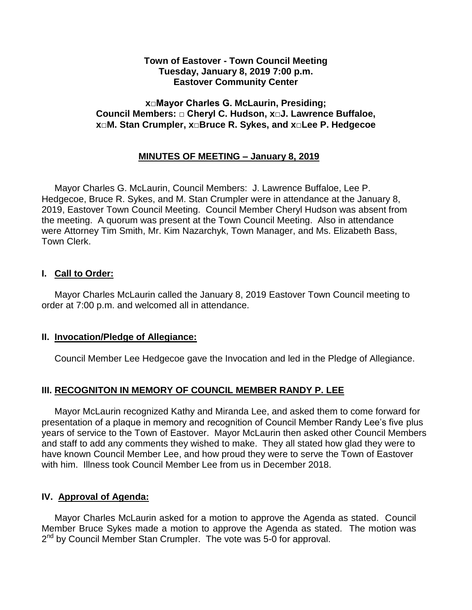### **Town of Eastover - Town Council Meeting Tuesday, January 8, 2019 7:00 p.m. Eastover Community Center**

### **x□Mayor Charles G. McLaurin, Presiding; Council Members: □ Cheryl C. Hudson, x□J. Lawrence Buffaloe, x□M. Stan Crumpler, x□Bruce R. Sykes, and x□Lee P. Hedgecoe**

# **MINUTES OF MEETING – January 8, 2019**

 Mayor Charles G. McLaurin, Council Members: J. Lawrence Buffaloe, Lee P. Hedgecoe, Bruce R. Sykes, and M. Stan Crumpler were in attendance at the January 8, 2019, Eastover Town Council Meeting. Council Member Cheryl Hudson was absent from the meeting. A quorum was present at the Town Council Meeting. Also in attendance were Attorney Tim Smith, Mr. Kim Nazarchyk, Town Manager, and Ms. Elizabeth Bass, Town Clerk.

### **I. Call to Order:**

 Mayor Charles McLaurin called the January 8, 2019 Eastover Town Council meeting to order at 7:00 p.m. and welcomed all in attendance.

#### **II. Invocation/Pledge of Allegiance:**

Council Member Lee Hedgecoe gave the Invocation and led in the Pledge of Allegiance.

# **III. RECOGNITON IN MEMORY OF COUNCIL MEMBER RANDY P. LEE**

 Mayor McLaurin recognized Kathy and Miranda Lee, and asked them to come forward for presentation of a plaque in memory and recognition of Council Member Randy Lee's five plus years of service to the Town of Eastover. Mayor McLaurin then asked other Council Members and staff to add any comments they wished to make. They all stated how glad they were to have known Council Member Lee, and how proud they were to serve the Town of Eastover with him. Illness took Council Member Lee from us in December 2018.

# **IV. Approval of Agenda:**

 Mayor Charles McLaurin asked for a motion to approve the Agenda as stated. Council Member Bruce Sykes made a motion to approve the Agenda as stated. The motion was 2<sup>nd</sup> by Council Member Stan Crumpler. The vote was 5-0 for approval.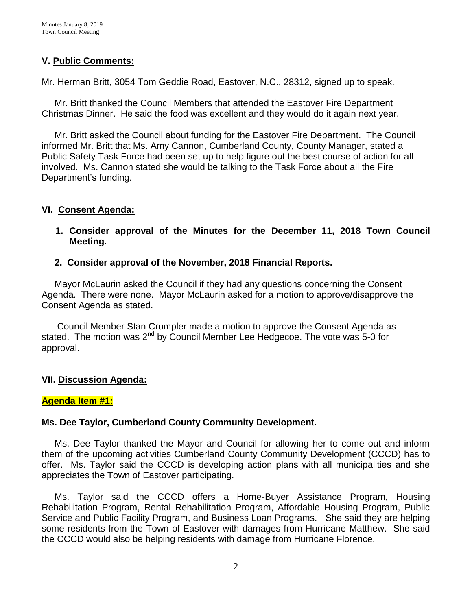# **V. Public Comments:**

Mr. Herman Britt, 3054 Tom Geddie Road, Eastover, N.C., 28312, signed up to speak.

 Mr. Britt thanked the Council Members that attended the Eastover Fire Department Christmas Dinner. He said the food was excellent and they would do it again next year.

 Mr. Britt asked the Council about funding for the Eastover Fire Department. The Council informed Mr. Britt that Ms. Amy Cannon, Cumberland County, County Manager, stated a Public Safety Task Force had been set up to help figure out the best course of action for all involved. Ms. Cannon stated she would be talking to the Task Force about all the Fire Department's funding.

# **VI. Consent Agenda:**

**1. Consider approval of the Minutes for the December 11, 2018 Town Council Meeting.** 

### **2. Consider approval of the November, 2018 Financial Reports.**

 Mayor McLaurin asked the Council if they had any questions concerning the Consent Agenda. There were none. Mayor McLaurin asked for a motion to approve/disapprove the Consent Agenda as stated.

 Council Member Stan Crumpler made a motion to approve the Consent Agenda as stated. The motion was  $2^{nd}$  by Council Member Lee Hedgecoe. The vote was 5-0 for approval.

# **VII. Discussion Agenda:**

# **Agenda Item #1:**

# **Ms. Dee Taylor, Cumberland County Community Development.**

 Ms. Dee Taylor thanked the Mayor and Council for allowing her to come out and inform them of the upcoming activities Cumberland County Community Development (CCCD) has to offer. Ms. Taylor said the CCCD is developing action plans with all municipalities and she appreciates the Town of Eastover participating.

 Ms. Taylor said the CCCD offers a Home-Buyer Assistance Program, Housing Rehabilitation Program, Rental Rehabilitation Program, Affordable Housing Program, Public Service and Public Facility Program, and Business Loan Programs. She said they are helping some residents from the Town of Eastover with damages from Hurricane Matthew. She said the CCCD would also be helping residents with damage from Hurricane Florence.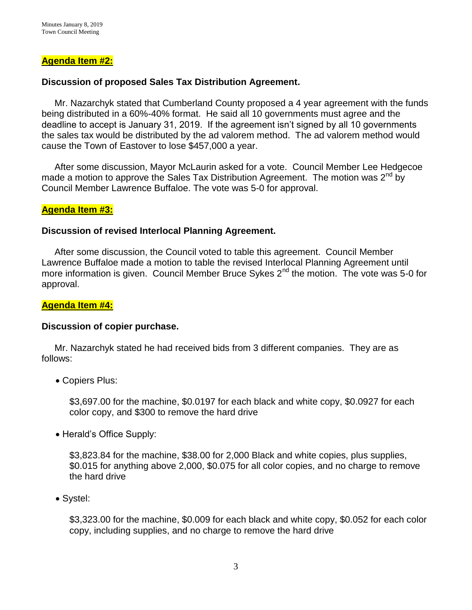### **Agenda Item #2:**

### **Discussion of proposed Sales Tax Distribution Agreement.**

 Mr. Nazarchyk stated that Cumberland County proposed a 4 year agreement with the funds being distributed in a 60%-40% format. He said all 10 governments must agree and the deadline to accept is January 31, 2019. If the agreement isn't signed by all 10 governments the sales tax would be distributed by the ad valorem method. The ad valorem method would cause the Town of Eastover to lose \$457,000 a year.

 After some discussion, Mayor McLaurin asked for a vote. Council Member Lee Hedgecoe made a motion to approve the Sales Tax Distribution Agreement. The motion was  $2^{nd}$  by Council Member Lawrence Buffaloe. The vote was 5-0 for approval.

#### **Agenda Item #3:**

#### **Discussion of revised Interlocal Planning Agreement.**

After some discussion, the Council voted to table this agreement. Council Member Lawrence Buffaloe made a motion to table the revised Interlocal Planning Agreement until more information is given. Council Member Bruce Sykes  $2^{nd}$  the motion. The vote was 5-0 for approval.

#### **Agenda Item #4:**

#### **Discussion of copier purchase.**

Mr. Nazarchyk stated he had received bids from 3 different companies. They are as follows:

Copiers Plus:

\$3,697.00 for the machine, \$0.0197 for each black and white copy, \$0.0927 for each color copy, and \$300 to remove the hard drive

• Herald's Office Supply:

\$3,823.84 for the machine, \$38.00 for 2,000 Black and white copies, plus supplies, \$0.015 for anything above 2,000, \$0.075 for all color copies, and no charge to remove the hard drive

Systel:

\$3,323.00 for the machine, \$0.009 for each black and white copy, \$0.052 for each color copy, including supplies, and no charge to remove the hard drive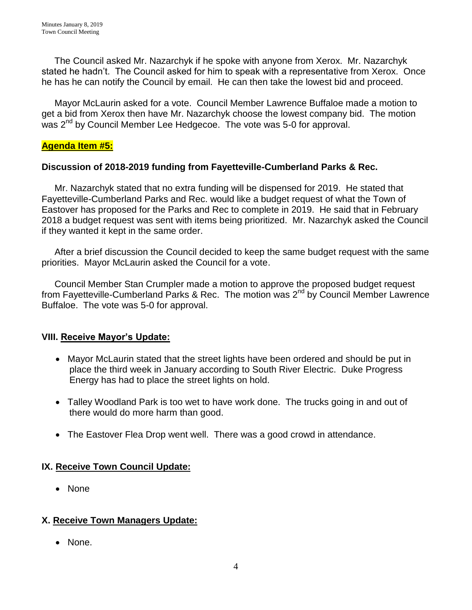The Council asked Mr. Nazarchyk if he spoke with anyone from Xerox. Mr. Nazarchyk stated he hadn't. The Council asked for him to speak with a representative from Xerox. Once he has he can notify the Council by email. He can then take the lowest bid and proceed.

 Mayor McLaurin asked for a vote. Council Member Lawrence Buffaloe made a motion to get a bid from Xerox then have Mr. Nazarchyk choose the lowest company bid. The motion was 2<sup>nd</sup> by Council Member Lee Hedgecoe. The vote was 5-0 for approval.

# **Agenda Item #5:**

# **Discussion of 2018-2019 funding from Fayetteville-Cumberland Parks & Rec.**

 Mr. Nazarchyk stated that no extra funding will be dispensed for 2019. He stated that Fayetteville-Cumberland Parks and Rec. would like a budget request of what the Town of Eastover has proposed for the Parks and Rec to complete in 2019. He said that in February 2018 a budget request was sent with items being prioritized. Mr. Nazarchyk asked the Council if they wanted it kept in the same order.

 After a brief discussion the Council decided to keep the same budget request with the same priorities. Mayor McLaurin asked the Council for a vote.

 Council Member Stan Crumpler made a motion to approve the proposed budget request from Fayetteville-Cumberland Parks & Rec. The motion was 2<sup>nd</sup> by Council Member Lawrence Buffaloe. The vote was 5-0 for approval.

# **VIII. Receive Mayor's Update:**

- Mayor McLaurin stated that the street lights have been ordered and should be put in place the third week in January according to South River Electric. Duke Progress Energy has had to place the street lights on hold.
- Talley Woodland Park is too wet to have work done. The trucks going in and out of there would do more harm than good.
- The Eastover Flea Drop went well. There was a good crowd in attendance.

# **IX. Receive Town Council Update:**

• None

# **X. Receive Town Managers Update:**

• None.